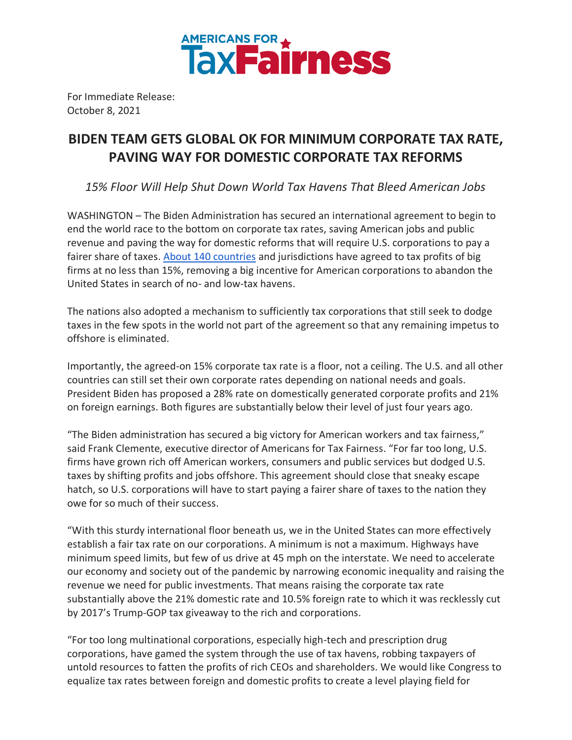

For Immediate Release: October 8, 2021

## **BIDEN TEAM GETS GLOBAL OK FOR MINIMUM CORPORATE TAX RATE, PAVING WAY FOR DOMESTIC CORPORATE TAX REFORMS**

*15% Floor Will Help Shut Down World Tax Havens That Bleed American Jobs*

WASHINGTON – The Biden Administration has secured an international agreement to begin to end the world race to the bottom on corporate tax rates, saving American jobs and public revenue and paving the way for domestic reforms that will require U.S. corporations to pay a fairer share of taxes. [About 140 countries](https://www.nytimes.com/2021/10/08/business/oecd-global-minimum-tax.html) and jurisdictions have agreed to tax profits of big firms at no less than 15%, removing a big incentive for American corporations to abandon the United States in search of no- and low-tax havens.

The nations also adopted a mechanism to sufficiently tax corporations that still seek to dodge taxes in the few spots in the world not part of the agreement so that any remaining impetus to offshore is eliminated.

Importantly, the agreed-on 15% corporate tax rate is a floor, not a ceiling. The U.S. and all other countries can still set their own corporate rates depending on national needs and goals. President Biden has proposed a 28% rate on domestically generated corporate profits and 21% on foreign earnings. Both figures are substantially below their level of just four years ago.

"The Biden administration has secured a big victory for American workers and tax fairness," said Frank Clemente, executive director of Americans for Tax Fairness. "For far too long, U.S. firms have grown rich off American workers, consumers and public services but dodged U.S. taxes by shifting profits and jobs offshore. This agreement should close that sneaky escape hatch, so U.S. corporations will have to start paying a fairer share of taxes to the nation they owe for so much of their success.

"With this sturdy international floor beneath us, we in the United States can more effectively establish a fair tax rate on our corporations. A minimum is not a maximum. Highways have minimum speed limits, but few of us drive at 45 mph on the interstate. We need to accelerate our economy and society out of the pandemic by narrowing economic inequality and raising the revenue we need for public investments. That means raising the corporate tax rate substantially above the 21% domestic rate and 10.5% foreign rate to which it was recklessly cut by 2017's Trump-GOP tax giveaway to the rich and corporations.

"For too long multinational corporations, especially high-tech and prescription drug corporations, have gamed the system through the use of tax havens, robbing taxpayers of untold resources to fatten the profits of rich CEOs and shareholders. We would like Congress to equalize tax rates between foreign and domestic profits to create a level playing field for